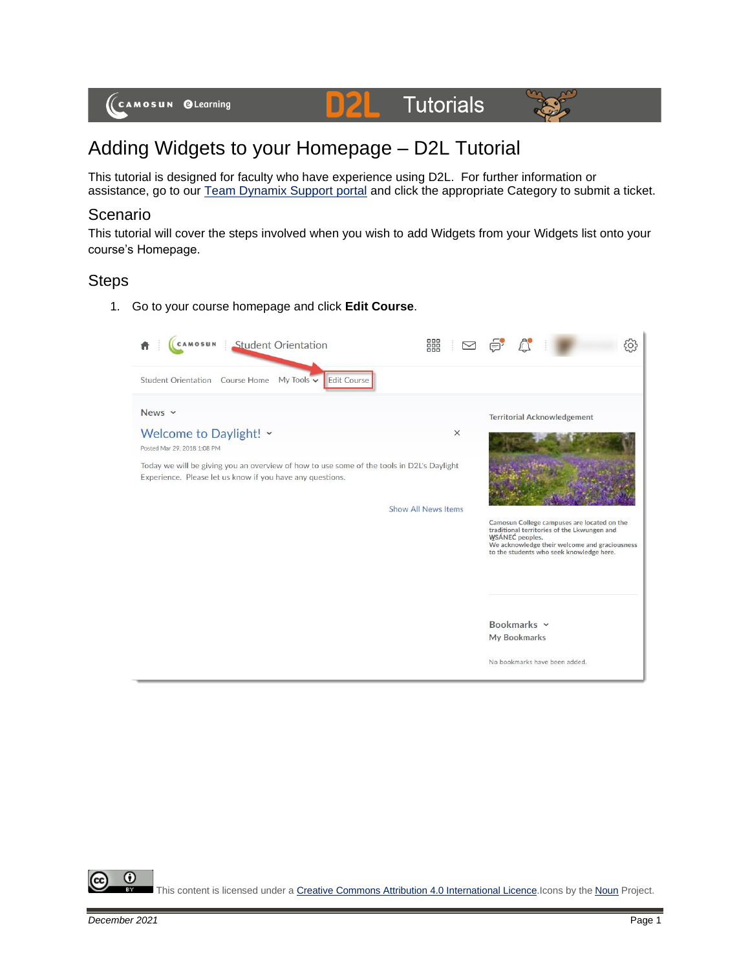

# Adding Widgets to your Homepage – D2L Tutorial

This tutorial is designed for faculty who have experience using D2L. For further information or assistance, go to our [Team Dynamix Support portal](https://camosun.teamdynamix.com/TDClient/67/Portal/Requests/ServiceCatalog?CategoryID=523) and click the appropriate Category to submit a ticket.

## Scenario

This tutorial will cover the steps involved when you wish to add Widgets from your Widgets list onto your course's Homepage.

### **Steps**

1. Go to your course homepage and click **Edit Course**.



⋒ This content is licensed under [a Creative Commons Attribution 4.0 International Licence.I](https://creativecommons.org/licenses/by/4.0/)cons by the [Noun](https://creativecommons.org/website-icons/) Project.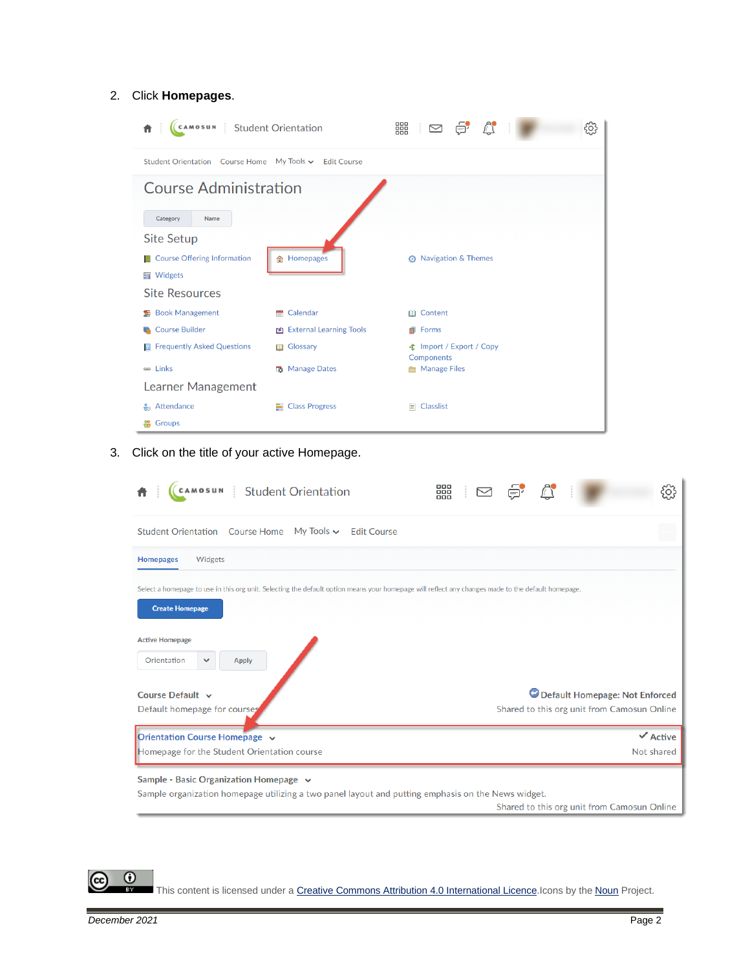#### 2. Click **Homepages**.

| CAMOSUN Student Orientation                            |                                | 器<br>$\mathbb{C}$<br>ė,<br>$\Box$                    | දුදි |
|--------------------------------------------------------|--------------------------------|------------------------------------------------------|------|
| Student Orientation Course Home My Tools ► Edit Course |                                |                                                      |      |
| <b>Course Administration</b>                           |                                |                                                      |      |
| Category<br><b>Name</b>                                |                                |                                                      |      |
| Site Setup                                             |                                |                                                      |      |
| <b>Course Offering Information</b>                     | <b>俞 Homepages</b>             | <b>Navigation &amp; Themes</b><br>$\odot$            |      |
| <b>■</b> Widgets                                       |                                |                                                      |      |
| <b>Site Resources</b>                                  |                                |                                                      |      |
| <b>Book Management</b><br>圣                            | Calendar<br>÷                  | <b>Ⅲ</b> Content                                     |      |
| <b>Course Builder</b>                                  | <b>EXternal Learning Tools</b> | <b>Forms</b>                                         |      |
| <b>Frequently Asked Questions</b><br>R                 | <b>III</b> Glossary            | <b>全</b> Import / Export / Copy<br><b>Components</b> |      |
| e Links                                                | <b>R</b> Manage Dates          | Manage Files                                         |      |
| Learner Management                                     |                                |                                                      |      |
| Attendance<br>÷                                        | <b>E</b> Class Progress        | $E$ Classlist                                        |      |
| Groups                                                 |                                |                                                      |      |

3. Click on the title of your active Homepage.

| <b>Student Orientation</b><br>CAMOSUN                                                                                                                                        | 器 |  |  |                                             | so:                 |
|------------------------------------------------------------------------------------------------------------------------------------------------------------------------------|---|--|--|---------------------------------------------|---------------------|
| <b>Student Orientation</b> Course Home<br>My Tools $\sim$<br><b>Edit Course</b>                                                                                              |   |  |  |                                             |                     |
| Widgets<br><b>Homepages</b>                                                                                                                                                  |   |  |  |                                             |                     |
| Select a homepage to use in this org unit. Selecting the default option means your homepage will reflect any changes made to the default homepage.<br><b>Create Homepage</b> |   |  |  |                                             |                     |
| <b>Active Homepage</b><br>Orientation<br><b>Apply</b><br>$\checkmark$                                                                                                        |   |  |  |                                             |                     |
| Course Default ~                                                                                                                                                             |   |  |  | Default Homepage: Not Enforced              |                     |
| Default homepage for courses                                                                                                                                                 |   |  |  | Shared to this org unit from Camosun Online |                     |
| Orientation Course Homepage v                                                                                                                                                |   |  |  |                                             | $\checkmark$ Active |
| Homepage for the Student Orientation course                                                                                                                                  |   |  |  |                                             | Not shared          |
| Sample - Basic Organization Homepage $\sim$                                                                                                                                  |   |  |  |                                             |                     |
| Sample organization homepage utilizing a two panel layout and putting emphasis on the News widget.                                                                           |   |  |  | Shared to this org unit from Camosun Online |                     |

This content is licensed under [a Creative Commons Attribution 4.0 International Licence.I](https://creativecommons.org/licenses/by/4.0/)cons by the [Noun](https://creativecommons.org/website-icons/) Project.

 $\odot$ 

ဇ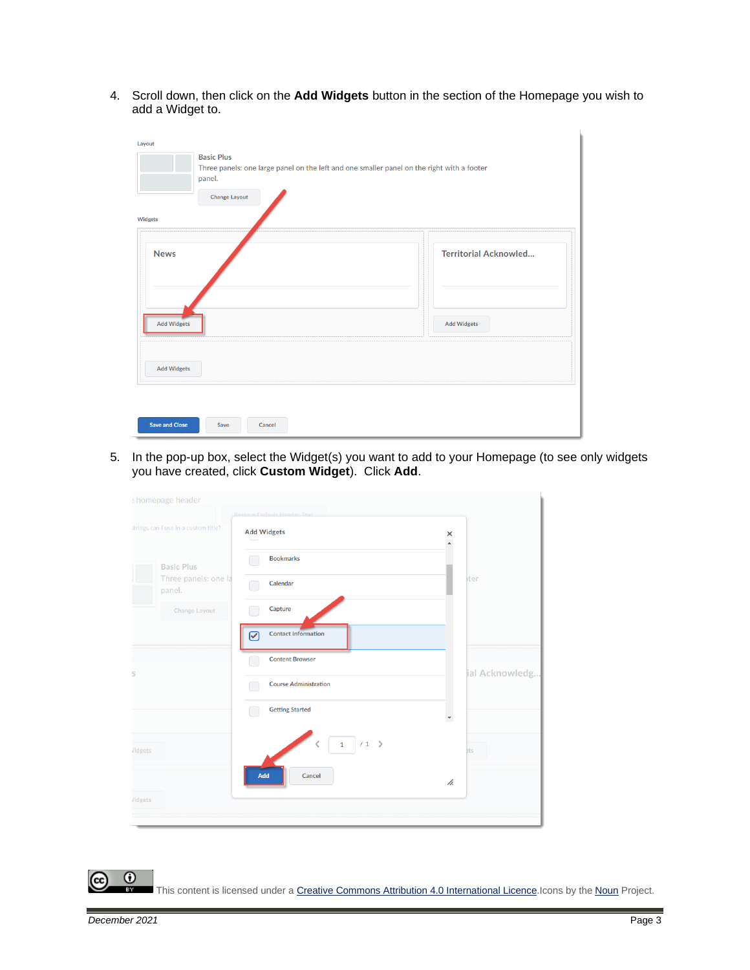4. Scroll down, then click on the **Add Widgets** button in the section of the Homepage you wish to add a Widget to.

| Layout                |                                                                                                                           |
|-----------------------|---------------------------------------------------------------------------------------------------------------------------|
|                       | <b>Basic Plus</b><br>Three panels: one large panel on the left and one smaller panel on the right with a footer<br>panel. |
|                       | <b>Change Layout</b>                                                                                                      |
| Widgets               |                                                                                                                           |
| <b>News</b>           | <b>Territorial Acknowled</b>                                                                                              |
| <b>Add Widgets</b>    | <b>Add Widgets</b>                                                                                                        |
| <b>Add Widgets</b>    |                                                                                                                           |
| <b>Save and Close</b> | Cancel<br>Save                                                                                                            |
|                       |                                                                                                                           |

5. In the pop-up box, select the Widget(s) you want to add to your Homepage (to see only widgets you have created, click **Custom Widget**). Click **Add**.

| homepage header                      |                                                   |                           |
|--------------------------------------|---------------------------------------------------|---------------------------|
| strings can I use in a custom title? | Restore Default Header Text<br><b>Add Widgets</b> | $\frac{\times}{\sqrt{2}}$ |
| <b>Basic Plus</b>                    | <b>Bookmarks</b>                                  |                           |
| Three panels: one la<br>panel.       | Calendar                                          | bter                      |
| Change Layout                        | Capture                                           |                           |
|                                      | <b>Contact Information</b><br>V                   |                           |
|                                      | <b>Content Browser</b>                            |                           |
| S                                    | <b>Course Administration</b>                      | ial Acknowledg.           |
|                                      | <b>Getting Started</b>                            | $\blacktriangledown$      |
| <b>Vidgets</b>                       | 1/1<br>L                                          | ets                       |
|                                      | Add<br>Cancel                                     | h.                        |
| <b>Vidgets</b>                       |                                                   |                           |
|                                      |                                                   |                           |

 $\overline{0}$ This content is licensed under [a Creative Commons Attribution 4.0 International Licence.I](https://creativecommons.org/licenses/by/4.0/)cons by the [Noun](https://creativecommons.org/website-icons/) Project.